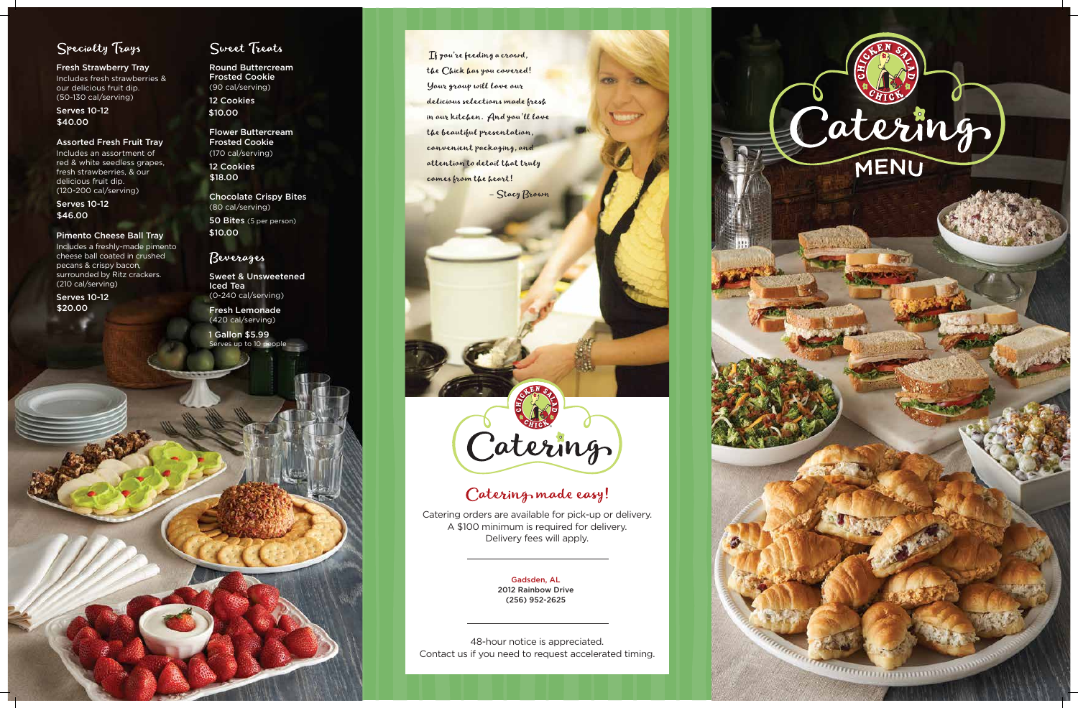



Fresh Strawberry Tray Includes fresh strawberries & our delicious fruit dip. (50-130 cal/serving)

Assorted Fresh Fruit Tray

Includes an assortment of red & white seedless grapes, fresh strawberries, & our delicious fruit dip. (120-200 cal/serving)

Pimento Cheese Ball Tray Includes a freshly-made pimento cheese ball coated in crushed pecans & crispy bacon, surrounded by Ritz crackers. (210 cal/serving)

Round Buttercream Frosted Cookie (90 cal/serving) 12 Cookies

Frosted Cookie (170 cal/serving)

Serves 10-12 \$40.00

> Chocolate Crispy Bites (80 cal/serving)

Serves 10-12 \$46.00

> Sweet & Unsweetened Iced Tea (0-240 cal/serving)

Fresh Lemonade (420 cal/serving)

Serves 10-12 \$20.00

## Sweet Treats

Flower Buttercream \$10.00

12 Cookies \$18.00

> Catering orders are available for pick-up or delivery. A \$100 minimum is required for delivery. Delivery fees will apply.

50 Bites (5 per person) \$10.00

## Beverages

Serves up to 10 people 1 Gallon \$5.99



If you're feeding a crowd, the Chick has you covered! Your group will love our delicious selections made fresh in our kitchen. And you'll love the beautiful presentation, convenient packaging, and attention to detail that truly comes from the heart!

- Stacy Brown

48-hour notice is appreciated. Contact us if you need to request accelerated timing.



# Catering made easy!

Gadsden, AL 2012 Rainbow Drive (256) 952-2625